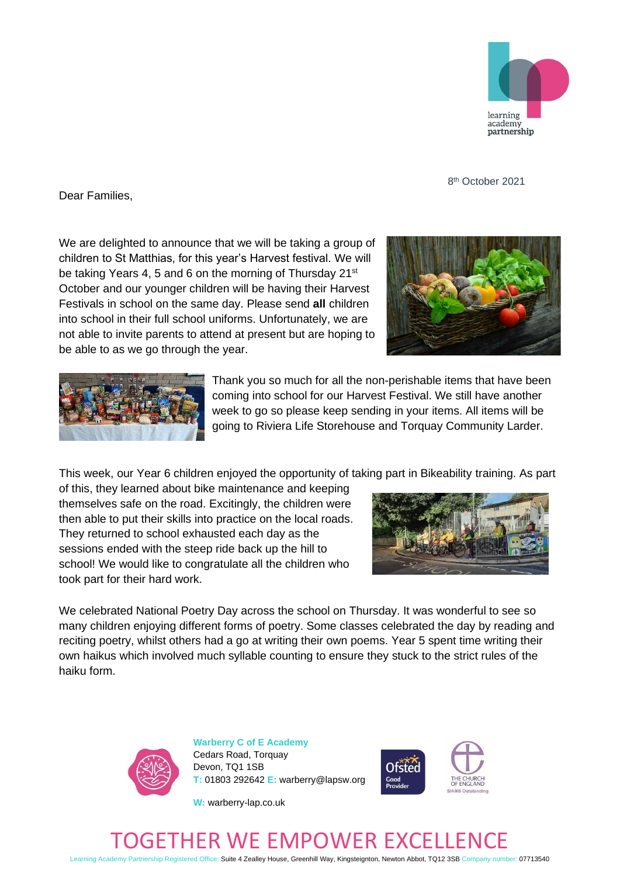

8 8<sup>th</sup> October 2021

Dear Families,

We are delighted to announce that we will be taking a group of children to St Matthias, for this year's Harvest festival. We will be taking Years 4, 5 and 6 on the morning of Thursday 21<sup>st</sup> October and our younger children will be having their Harvest Festivals in school on the same day. Please send **all** children into school in their full school uniforms. Unfortunately, we are not able to invite parents to attend at present but are hoping to be able to as we go through the year.





Thank you so much for all the non-perishable items that have been coming into school for our Harvest Festival. We still have another week to go so please keep sending in your items. All items will be going to Riviera Life Storehouse and Torquay Community Larder.

This week, our Year 6 children enjoyed the opportunity of taking part in Bikeability training. As part

of this, they learned about bike maintenance and keeping themselves safe on the road. Excitingly, the children were then able to put their skills into practice on the local roads. They returned to school exhausted each day as the sessions ended with the steep ride back up the hill to school! We would like to congratulate all the children who took part for their hard work.



We celebrated National Poetry Day across the school on Thursday. It was wonderful to see so many children enjoying different forms of poetry. Some classes celebrated the day by reading and reciting poetry, whilst others had a go at writing their own poems. Year 5 spent time writing their own haikus which involved much syllable counting to ensure they stuck to the strict rules of the haiku form.



**Warberry C of E Academy** Cedars Road, Torquay Devon, TQ1 1SB **T:** 01803 292642 **E:** warberry@lapsw.org



**W:** warberry-lap.co.uk

## GETHER WE EMPOWER EXC

Learning Academy Partnership Registered Office: Suite 4 Zealley House, Greenhill Way, Kingsteignton, Newton Abbot, TQ12 3SB Company number: 07713540